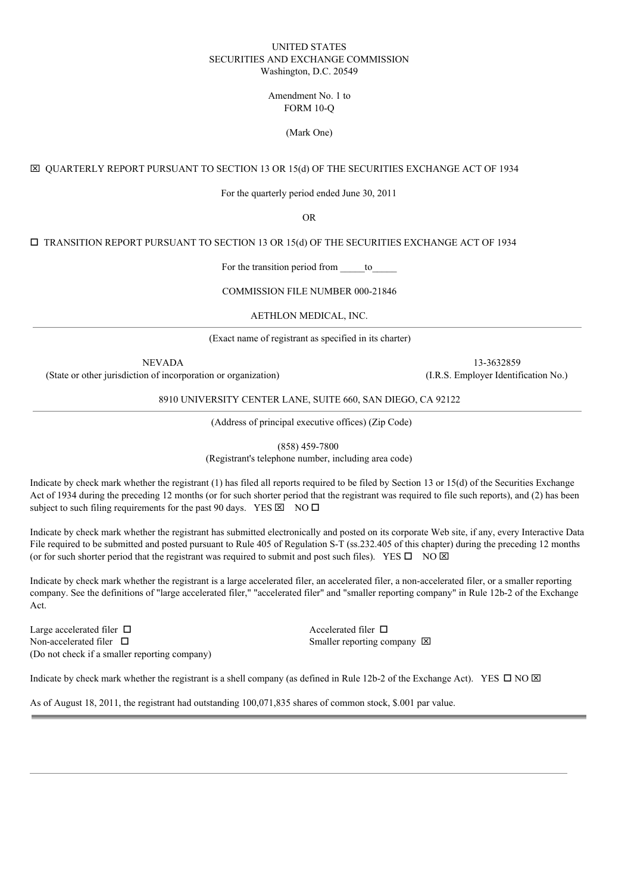### UNITED STATES SECURITIES AND EXCHANGE COMMISSION Washington, D.C. 20549

### Amendment No. 1 to FORM 10-Q

### (Mark One)

## x QUARTERLY REPORT PURSUANT TO SECTION 13 OR 15(d) OF THE SECURITIES EXCHANGE ACT OF 1934

For the quarterly period ended June 30, 2011

OR

 $\square$  TRANSITION REPORT PURSUANT TO SECTION 13 OR 15(d) OF THE SECURITIES EXCHANGE ACT OF 1934

For the transition period from to

COMMISSION FILE NUMBER 000-21846

AETHLON MEDICAL, INC.

(Exact name of registrant as specified in its charter)

(State or other jurisdiction of incorporation or organization) (I.R.S. Employer Identification No.)

NEVADA 13-3632859

8910 UNIVERSITY CENTER LANE, SUITE 660, SAN DIEGO, CA 92122

(Address of principal executive offices) (Zip Code)

(858) 459-7800

(Registrant's telephone number, including area code)

Indicate by check mark whether the registrant (1) has filed all reports required to be filed by Section 13 or 15(d) of the Securities Exchange Act of 1934 during the preceding 12 months (or for such shorter period that the registrant was required to file such reports), and (2) has been subject to such filing requirements for the past 90 days. YES  $\boxtimes$  NO  $\Box$ 

Indicate by check mark whether the registrant has submitted electronically and posted on its corporate Web site, if any, every Interactive Data File required to be submitted and posted pursuant to Rule 405 of Regulation S-T (ss.232.405 of this chapter) during the preceding 12 months (or for such shorter period that the registrant was required to submit and post such files). YES  $\square$  NO  $\boxtimes$ 

Indicate by check mark whether the registrant is a large accelerated filer, an accelerated filer, a non-accelerated filer, or a smaller reporting company. See the definitions of "large accelerated filer," "accelerated filer" and "smaller reporting company" in Rule 12b-2 of the Exchange Act.

Large accelerated filer  $\Box$ Non-accelerated filer  $\Box$ (Do not check if a smaller reporting company)

Smaller reporting company  $\boxtimes$ 

Indicate by check mark whether the registrant is a shell company (as defined in Rule 12b-2 of the Exchange Act). YES  $\Box$  NO  $\boxtimes$ 

As of August 18, 2011, the registrant had outstanding 100,071,835 shares of common stock, \$.001 par value.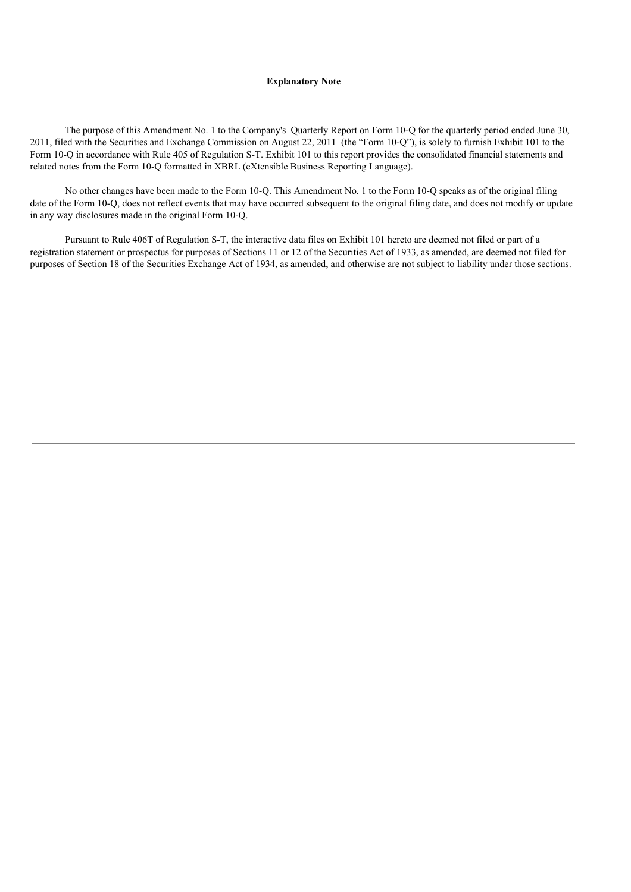#### **Explanatory Note**

The purpose of this Amendment No. 1 to the Company's Quarterly Report on Form 10-Q for the quarterly period ended June 30, 2011, filed with the Securities and Exchange Commission on August 22, 2011 (the "Form 10-Q"), is solely to furnish Exhibit 101 to the Form 10-Q in accordance with Rule 405 of Regulation S-T. Exhibit 101 to this report provides the consolidated financial statements and related notes from the Form 10-Q formatted in XBRL (eXtensible Business Reporting Language).

No other changes have been made to the Form 10-Q. This Amendment No. 1 to the Form 10-Q speaks as of the original filing date of the Form 10-Q, does not reflect events that may have occurred subsequent to the original filing date, and does not modify or update in any way disclosures made in the original Form 10-Q.

Pursuant to Rule 406T of Regulation S-T, the interactive data files on Exhibit 101 hereto are deemed not filed or part of a registration statement or prospectus for purposes of Sections 11 or 12 of the Securities Act of 1933, as amended, are deemed not filed for purposes of Section 18 of the Securities Exchange Act of 1934, as amended, and otherwise are not subject to liability under those sections.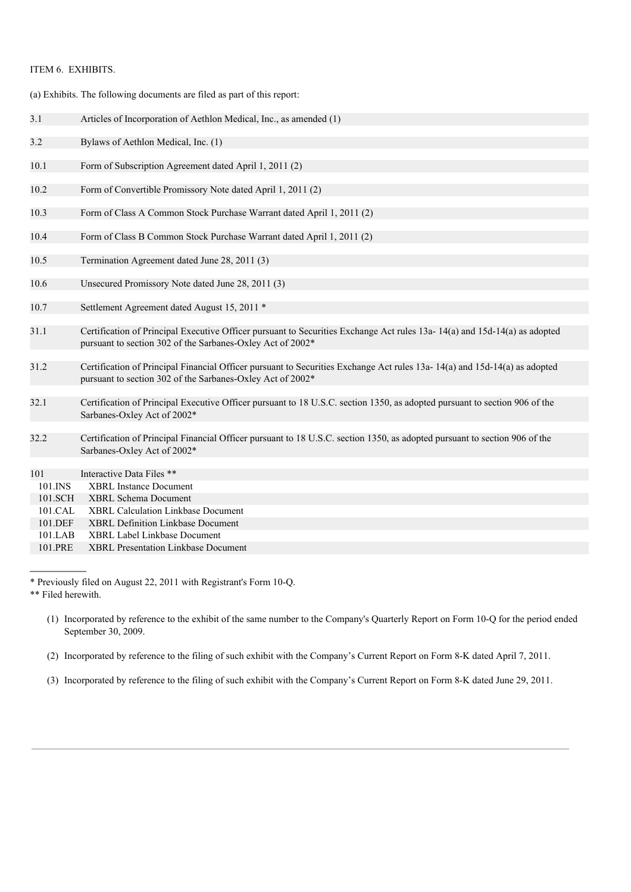## ITEM 6. EXHIBITS.

(a) Exhibits. The following documents are filed as part of this report:

| 3.1                | Articles of Incorporation of Aethlon Medical, Inc., as amended (1)                                                                                                                      |
|--------------------|-----------------------------------------------------------------------------------------------------------------------------------------------------------------------------------------|
| 3.2                | Bylaws of Aethlon Medical, Inc. (1)                                                                                                                                                     |
| 10.1               | Form of Subscription Agreement dated April 1, 2011 (2)                                                                                                                                  |
| 10.2               | Form of Convertible Promissory Note dated April 1, 2011 (2)                                                                                                                             |
| 10.3               | Form of Class A Common Stock Purchase Warrant dated April 1, 2011 (2)                                                                                                                   |
| 10.4               | Form of Class B Common Stock Purchase Warrant dated April 1, 2011 (2)                                                                                                                   |
| 10.5               | Termination Agreement dated June 28, 2011 (3)                                                                                                                                           |
| 10.6               | Unsecured Promissory Note dated June 28, 2011 (3)                                                                                                                                       |
| 10.7               | Settlement Agreement dated August 15, 2011 *                                                                                                                                            |
| 31.1               | Certification of Principal Executive Officer pursuant to Securities Exchange Act rules 13a-14(a) and 15d-14(a) as adopted<br>pursuant to section 302 of the Sarbanes-Oxley Act of 2002* |
| 31.2               | Certification of Principal Financial Officer pursuant to Securities Exchange Act rules 13a-14(a) and 15d-14(a) as adopted<br>pursuant to section 302 of the Sarbanes-Oxley Act of 2002* |
| 32.1               | Certification of Principal Executive Officer pursuant to 18 U.S.C. section 1350, as adopted pursuant to section 906 of the<br>Sarbanes-Oxley Act of 2002*                               |
| 32.2               | Certification of Principal Financial Officer pursuant to 18 U.S.C. section 1350, as adopted pursuant to section 906 of the<br>Sarbanes-Oxley Act of 2002*                               |
| 101                | Interactive Data Files **                                                                                                                                                               |
| 101.INS            | <b>XBRL</b> Instance Document                                                                                                                                                           |
| 101.SCH            | <b>XBRL Schema Document</b>                                                                                                                                                             |
| 101.CAL            | <b>XBRL Calculation Linkbase Document</b>                                                                                                                                               |
| 101.DEF            | <b>XBRL Definition Linkbase Document</b>                                                                                                                                                |
| 101.LAB<br>101.PRE | <b>XBRL Label Linkbase Document</b><br><b>XBRL Presentation Linkbase Document</b>                                                                                                       |
|                    |                                                                                                                                                                                         |

<sup>\*</sup> Previously filed on August 22, 2011 with Registrant's Form 10-Q.

(3) Incorporated by reference to the filing of such exhibit with the Company's Current Report on Form 8-K dated June 29, 2011.

<sup>\*\*</sup> Filed herewith.

<sup>(1)</sup> Incorporated by reference to the exhibit of the same number to the Company's Quarterly Report on Form 10-Q for the period ended September 30, 2009.

<sup>(2)</sup> Incorporated by reference to the filing of such exhibit with the Company's Current Report on Form 8-K dated April 7, 2011.